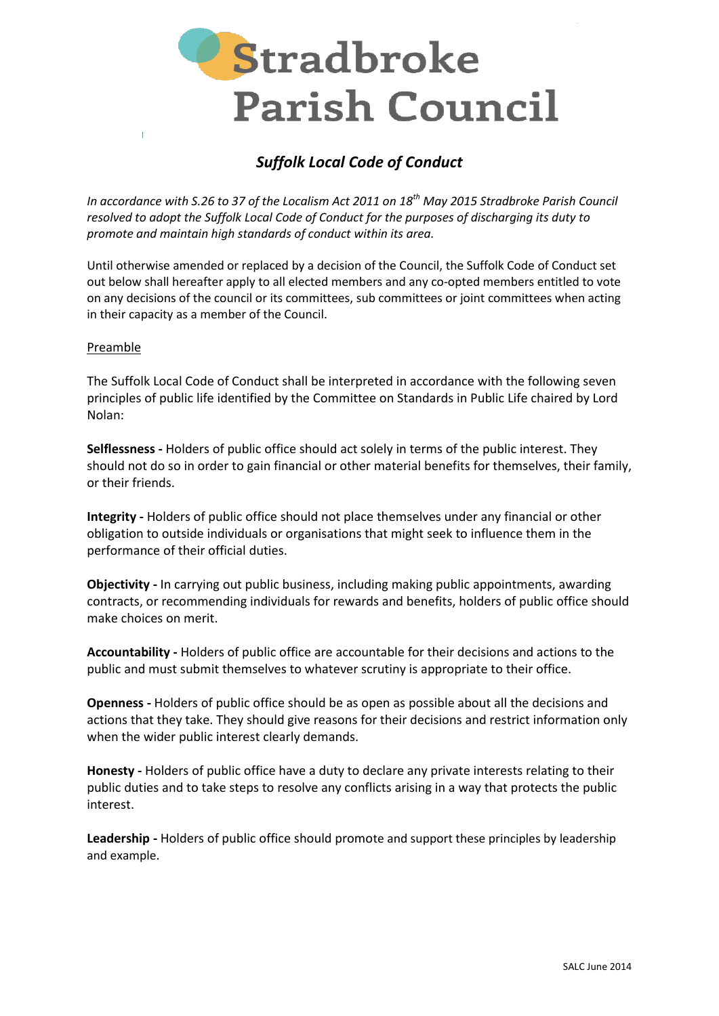

# *Suffolk Local Code of Conduct*

*In accordance with S.26 to 37 of the Localism Act 2011 on 18th May 2015 Stradbroke Parish Council resolved to adopt the Suffolk Local Code of Conduct for the purposes of discharging its duty to promote and maintain high standards of conduct within its area.* 

Until otherwise amended or replaced by a decision of the Council, the Suffolk Code of Conduct set out below shall hereafter apply to all elected members and any co-opted members entitled to vote on any decisions of the council or its committees, sub committees or joint committees when acting in their capacity as a member of the Council.

#### Preamble

The Suffolk Local Code of Conduct shall be interpreted in accordance with the following seven principles of public life identified by the Committee on Standards in Public Life chaired by Lord Nolan:

**Selflessness -** Holders of public office should act solely in terms of the public interest. They should not do so in order to gain financial or other material benefits for themselves, their family, or their friends.

**Integrity -** Holders of public office should not place themselves under any financial or other obligation to outside individuals or organisations that might seek to influence them in the performance of their official duties.

**Objectivity -** In carrying out public business, including making public appointments, awarding contracts, or recommending individuals for rewards and benefits, holders of public office should make choices on merit.

**Accountability -** Holders of public office are accountable for their decisions and actions to the public and must submit themselves to whatever scrutiny is appropriate to their office.

**Openness -** Holders of public office should be as open as possible about all the decisions and actions that they take. They should give reasons for their decisions and restrict information only when the wider public interest clearly demands.

**Honesty -** Holders of public office have a duty to declare any private interests relating to their public duties and to take steps to resolve any conflicts arising in a way that protects the public interest.

**Leadership -** Holders of public office should promote and support these principles by leadership and example.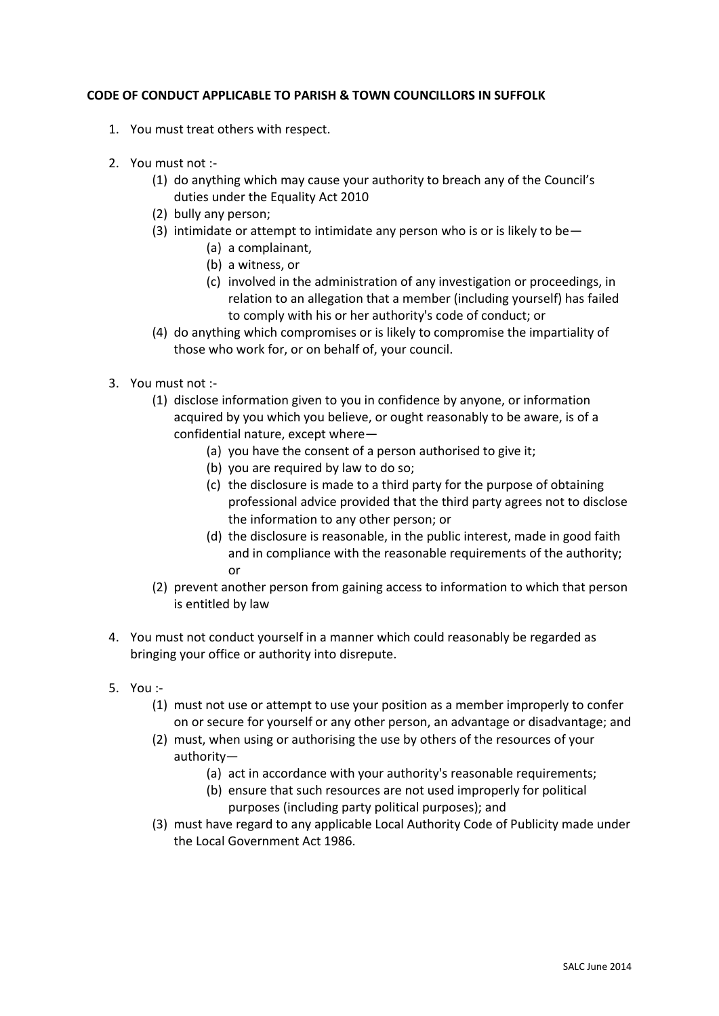### **CODE OF CONDUCT APPLICABLE TO PARISH & TOWN COUNCILLORS IN SUFFOLK**

- 1. You must treat others with respect.
- 2. You must not :-
	- (1) do anything which may cause your authority to breach any of the Council's duties under the Equality Act 2010
	- (2) bully any person;
	- (3) intimidate or attempt to intimidate any person who is or is likely to be $-$ 
		- (a) a complainant,
		- (b) a witness, or
		- (c) involved in the administration of any investigation or proceedings, in relation to an allegation that a member (including yourself) has failed to comply with his or her authority's code of conduct; or
	- (4) do anything which compromises or is likely to compromise the impartiality of those who work for, or on behalf of, your council.
- 3. You must not :-
	- (1) disclose information given to you in confidence by anyone, or information acquired by you which you believe, or ought reasonably to be aware, is of a confidential nature, except where—
		- (a) you have the consent of a person authorised to give it;
		- (b) you are required by law to do so;
		- (c) the disclosure is made to a third party for the purpose of obtaining professional advice provided that the third party agrees not to disclose the information to any other person; or
		- (d) the disclosure is reasonable, in the public interest, made in good faith and in compliance with the reasonable requirements of the authority; or
	- (2) prevent another person from gaining access to information to which that person is entitled by law
- 4. You must not conduct yourself in a manner which could reasonably be regarded as bringing your office or authority into disrepute.
- 5. You :-
	- (1) must not use or attempt to use your position as a member improperly to confer on or secure for yourself or any other person, an advantage or disadvantage; and
	- (2) must, when using or authorising the use by others of the resources of your authority—
		- (a) act in accordance with your authority's reasonable requirements;
		- (b) ensure that such resources are not used improperly for political purposes (including party political purposes); and
	- (3) must have regard to any applicable Local Authority Code of Publicity made under the Local Government Act 1986.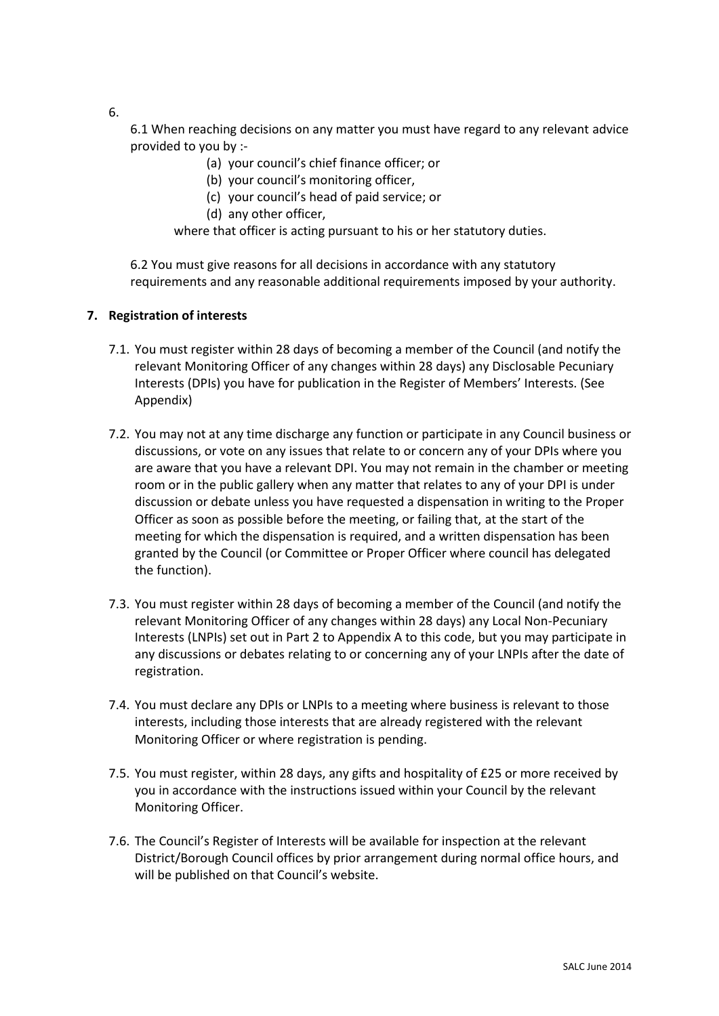6.

6.1 When reaching decisions on any matter you must have regard to any relevant advice provided to you by :-

- (a) your council's chief finance officer; or
- (b) your council's monitoring officer,
- (c) your council's head of paid service; or
- (d) any other officer,

where that officer is acting pursuant to his or her statutory duties.

6.2 You must give reasons for all decisions in accordance with any statutory requirements and any reasonable additional requirements imposed by your authority.

#### **7. Registration of interests**

- 7.1. You must register within 28 days of becoming a member of the Council (and notify the relevant Monitoring Officer of any changes within 28 days) any Disclosable Pecuniary Interests (DPIs) you have for publication in the Register of Members' Interests. (See Appendix)
- 7.2. You may not at any time discharge any function or participate in any Council business or discussions, or vote on any issues that relate to or concern any of your DPIs where you are aware that you have a relevant DPI. You may not remain in the chamber or meeting room or in the public gallery when any matter that relates to any of your DPI is under discussion or debate unless you have requested a dispensation in writing to the Proper Officer as soon as possible before the meeting, or failing that, at the start of the meeting for which the dispensation is required, and a written dispensation has been granted by the Council (or Committee or Proper Officer where council has delegated the function).
- 7.3. You must register within 28 days of becoming a member of the Council (and notify the relevant Monitoring Officer of any changes within 28 days) any Local Non-Pecuniary Interests (LNPIs) set out in Part 2 to Appendix A to this code, but you may participate in any discussions or debates relating to or concerning any of your LNPIs after the date of registration.
- 7.4. You must declare any DPIs or LNPIs to a meeting where business is relevant to those interests, including those interests that are already registered with the relevant Monitoring Officer or where registration is pending.
- 7.5. You must register, within 28 days, any gifts and hospitality of £25 or more received by you in accordance with the instructions issued within your Council by the relevant Monitoring Officer.
- 7.6. The Council's Register of Interests will be available for inspection at the relevant District/Borough Council offices by prior arrangement during normal office hours, and will be published on that Council's website.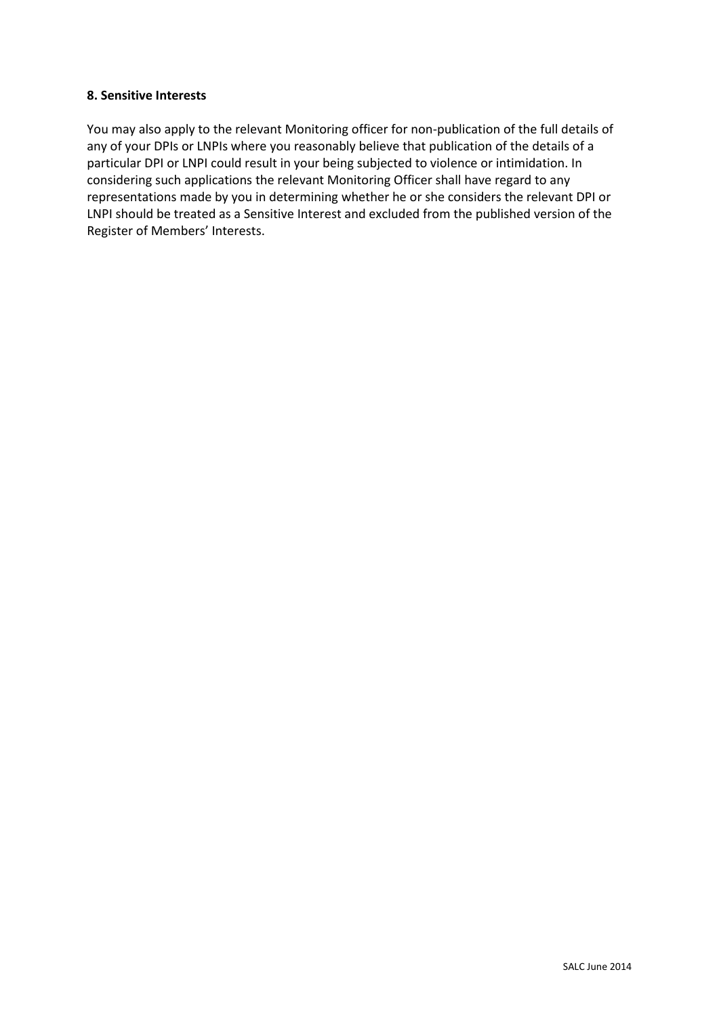#### **8. Sensitive Interests**

You may also apply to the relevant Monitoring officer for non-publication of the full details of any of your DPIs or LNPIs where you reasonably believe that publication of the details of a particular DPI or LNPI could result in your being subjected to violence or intimidation. In considering such applications the relevant Monitoring Officer shall have regard to any representations made by you in determining whether he or she considers the relevant DPI or LNPI should be treated as a Sensitive Interest and excluded from the published version of the Register of Members' Interests.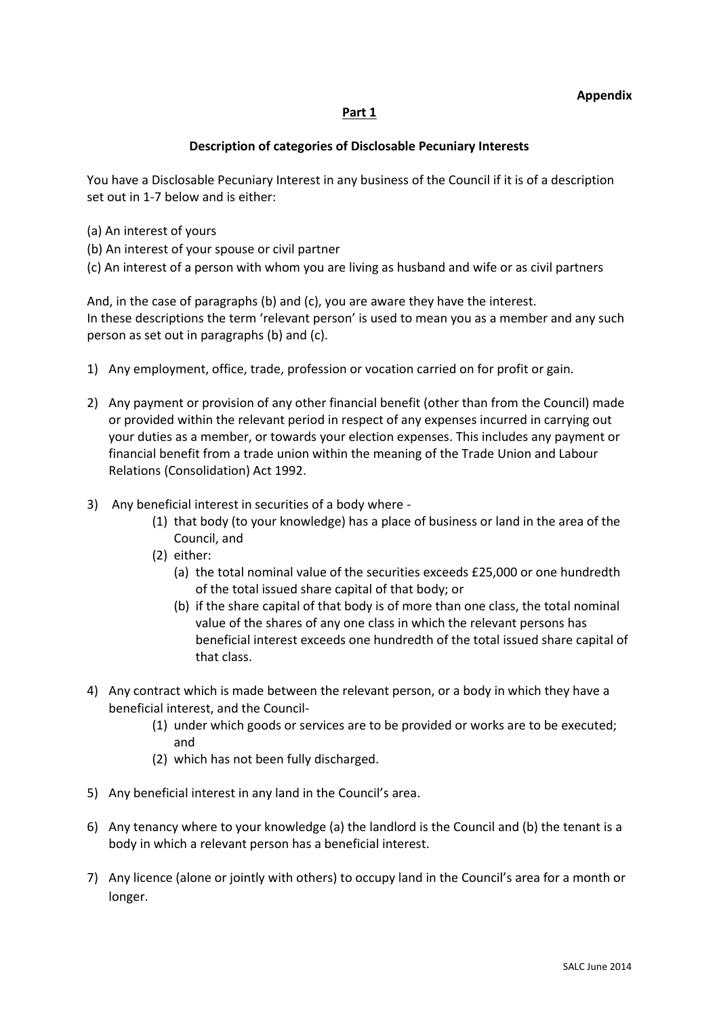## **Part 1**

## **Description of categories of Disclosable Pecuniary Interests**

You have a Disclosable Pecuniary Interest in any business of the Council if it is of a description set out in 1-7 below and is either:

- (a) An interest of yours
- (b) An interest of your spouse or civil partner
- (c) An interest of a person with whom you are living as husband and wife or as civil partners

And, in the case of paragraphs (b) and (c), you are aware they have the interest. In these descriptions the term 'relevant person' is used to mean you as a member and any such person as set out in paragraphs (b) and (c).

- 1) Any employment, office, trade, profession or vocation carried on for profit or gain.
- 2) Any payment or provision of any other financial benefit (other than from the Council) made or provided within the relevant period in respect of any expenses incurred in carrying out your duties as a member, or towards your election expenses. This includes any payment or financial benefit from a trade union within the meaning of the Trade Union and Labour Relations (Consolidation) Act 1992.
- 3) Any beneficial interest in securities of a body where
	- (1) that body (to your knowledge) has a place of business or land in the area of the Council, and
	- (2) either:
		- (a) the total nominal value of the securities exceeds £25,000 or one hundredth of the total issued share capital of that body; or
		- (b) if the share capital of that body is of more than one class, the total nominal value of the shares of any one class in which the relevant persons has beneficial interest exceeds one hundredth of the total issued share capital of that class.
- 4) Any contract which is made between the relevant person, or a body in which they have a beneficial interest, and the Council-
	- (1) under which goods or services are to be provided or works are to be executed; and
	- (2) which has not been fully discharged.
- 5) Any beneficial interest in any land in the Council's area.
- 6) Any tenancy where to your knowledge (a) the landlord is the Council and (b) the tenant is a body in which a relevant person has a beneficial interest.
- 7) Any licence (alone or jointly with others) to occupy land in the Council's area for a month or longer.